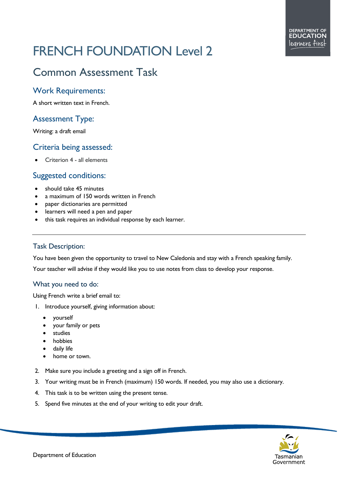# FRENCH FOUNDATION Level 2

# Common Assessment Task

### Work Requirements:

A short written text in French.

# Assessment Type:

Writing: a draft email

#### Criteria being assessed:

• Criterion 4 - all elements

## Suggested conditions:

- should take 45 minutes
- a maximum of 150 words written in French
- paper dictionaries are permitted
- learners will need a pen and paper
- this task requires an individual response by each learner.

#### Task Description:

You have been given the opportunity to travel to New Caledonia and stay with a French speaking family.

Your teacher will advise if they would like you to use notes from class to develop your response.

#### What you need to do:

Using French write a brief email to:

- 1. Introduce yourself, giving information about:
	- yourself
	- your family or pets
	- studies
	- hobbies
	- daily life
	- home or town.
- 2. Make sure you include a greeting and a sign off in French.
- 3. Your writing must be in French (maximum) 150 words. If needed, you may also use a dictionary.
- 4. This task is to be written using the present tense.
- 5. Spend five minutes at the end of your writing to edit your draft.